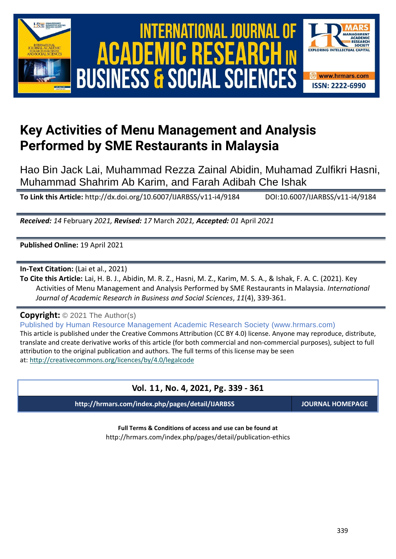





# **Key Activities of Menu Management and Analysis Performed by SME Restaurants in Malaysia**

Hao Bin Jack Lai, Muhammad Rezza Zainal Abidin, Muhamad Zulfikri Hasni, Muhammad Shahrim Ab Karim, and Farah Adibah Che Ishak

**To Link this Article:** http://dx.doi.org/10.6007/IJARBSS/v11-i4/9184 DOI:10.6007/IJARBSS/v11-i4/9184

*Received: 14* February *2021, Revised: 17* March *2021, Accepted: 01* April *2021*

**Published Online:** 19 April 2021

**In-Text Citation:** (Lai et al., 2021)

**To Cite this Article:** Lai, H. B. J., Abidin, M. R. Z., Hasni, M. Z., Karim, M. S. A., & Ishak, F. A. C. (2021). Key Activities of Menu Management and Analysis Performed by SME Restaurants in Malaysia. *International Journal of Academic Research in Business and Social Sciences*, *11*(4), 339-361.

**Copyright:** © 2021 The Author(s)

Published by Human Resource Management Academic Research Society (www.hrmars.com) This article is published under the Creative Commons Attribution (CC BY 4.0) license. Anyone may reproduce, distribute, translate and create derivative works of this article (for both commercial and non-commercial purposes), subject to full attribution to the original publication and authors. The full terms of this license may be seen at: <http://creativecommons.org/licences/by/4.0/legalcode>

## **Vol. 11, No. 4, 2021, Pg. 339 - 361**

**http://hrmars.com/index.php/pages/detail/IJARBSS JOURNAL HOMEPAGE**

**Full Terms & Conditions of access and use can be found at** http://hrmars.com/index.php/pages/detail/publication-ethics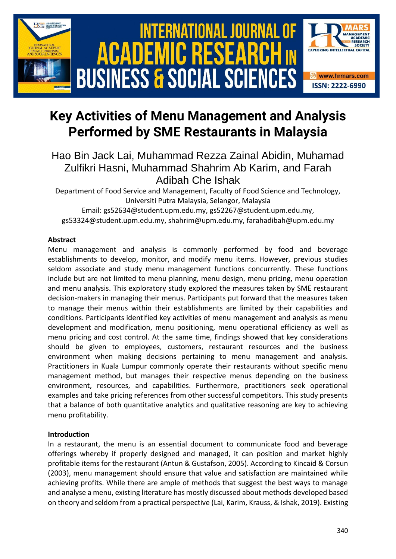

# **Key Activities of Menu Management and Analysis Performed by SME Restaurants in Malaysia**

# Hao Bin Jack Lai, Muhammad Rezza Zainal Abidin, Muhamad Zulfikri Hasni, Muhammad Shahrim Ab Karim, and Farah Adibah Che Ishak

Department of Food Service and Management, Faculty of Food Science and Technology, Universiti Putra Malaysia, Selangor, Malaysia Email: gs52634@student.upm.edu.my, gs52267@student.upm.edu.my,

gs53324@student.upm.edu.my, shahrim@upm.edu.my, farahadibah@upm.edu.my

#### **Abstract**

Menu management and analysis is commonly performed by food and beverage establishments to develop, monitor, and modify menu items. However, previous studies seldom associate and study menu management functions concurrently. These functions include but are not limited to menu planning, menu design, menu pricing, menu operation and menu analysis. This exploratory study explored the measures taken by SME restaurant decision-makers in managing their menus. Participants put forward that the measures taken to manage their menus within their establishments are limited by their capabilities and conditions. Participants identified key activities of menu management and analysis as menu development and modification, menu positioning, menu operational efficiency as well as menu pricing and cost control. At the same time, findings showed that key considerations should be given to employees, customers, restaurant resources and the business environment when making decisions pertaining to menu management and analysis. Practitioners in Kuala Lumpur commonly operate their restaurants without specific menu management method, but manages their respective menus depending on the business environment, resources, and capabilities. Furthermore, practitioners seek operational examples and take pricing references from other successful competitors. This study presents that a balance of both quantitative analytics and qualitative reasoning are key to achieving menu profitability.

### **Introduction**

In a restaurant, the menu is an essential document to communicate food and beverage offerings whereby if properly designed and managed, it can position and market highly profitable items for the restaurant (Antun & Gustafson, 2005). According to Kincaid & Corsun (2003), menu management should ensure that value and satisfaction are maintained while achieving profits. While there are ample of methods that suggest the best ways to manage and analyse a menu, existing literature has mostly discussed about methods developed based on theory and seldom from a practical perspective (Lai, Karim, Krauss, & Ishak, 2019). Existing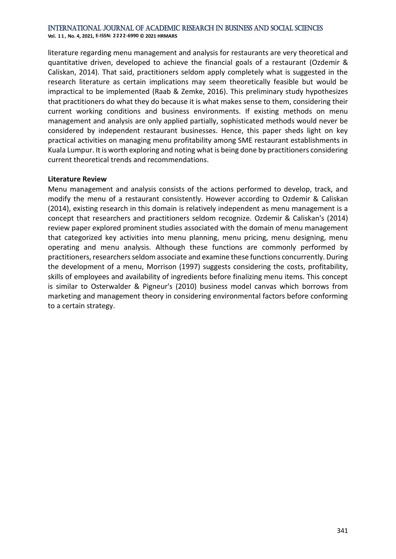**Vol. 1 1 , No. 4, 2021, E-ISSN: 2222-6990 © 2021 HRMARS**

literature regarding menu management and analysis for restaurants are very theoretical and quantitative driven, developed to achieve the financial goals of a restaurant (Ozdemir & Caliskan, 2014). That said, practitioners seldom apply completely what is suggested in the research literature as certain implications may seem theoretically feasible but would be impractical to be implemented (Raab & Zemke, 2016). This preliminary study hypothesizes that practitioners do what they do because it is what makes sense to them, considering their current working conditions and business environments. If existing methods on menu management and analysis are only applied partially, sophisticated methods would never be considered by independent restaurant businesses. Hence, this paper sheds light on key practical activities on managing menu profitability among SME restaurant establishments in Kuala Lumpur. It is worth exploring and noting what is being done by practitioners considering current theoretical trends and recommendations.

#### **Literature Review**

Menu management and analysis consists of the actions performed to develop, track, and modify the menu of a restaurant consistently. However according to Ozdemir & Caliskan (2014), existing research in this domain is relatively independent as menu management is a concept that researchers and practitioners seldom recognize. Ozdemir & Caliskan's (2014) review paper explored prominent studies associated with the domain of menu management that categorized key activities into menu planning, menu pricing, menu designing, menu operating and menu analysis. Although these functions are commonly performed by practitioners, researchers seldom associate and examine these functions concurrently. During the development of a menu, Morrison (1997) suggests considering the costs, profitability, skills of employees and availability of ingredients before finalizing menu items. This concept is similar to Osterwalder & Pigneur's (2010) business model canvas which borrows from marketing and management theory in considering environmental factors before conforming to a certain strategy.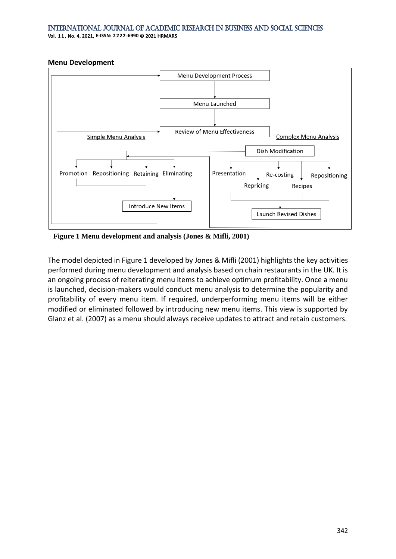**Vol. 1 1 , No. 4, 2021, E-ISSN: 2222-6990 © 2021 HRMARS**

#### **Menu Development**



**Figure 1 Menu development and analysis (Jones & Mifli, 2001)**

The model depicted in Figure 1 developed by Jones & Mifli (2001) highlights the key activities performed during menu development and analysis based on chain restaurants in the UK. It is an ongoing process of reiterating menu items to achieve optimum profitability. Once a menu is launched, decision-makers would conduct menu analysis to determine the popularity and profitability of every menu item. If required, underperforming menu items will be either modified or eliminated followed by introducing new menu items. This view is supported by Glanz et al. (2007) as a menu should always receive updates to attract and retain customers.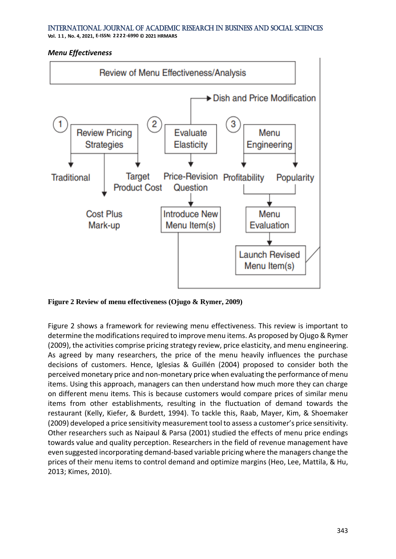**Vol. 1 1 , No. 4, 2021, E-ISSN: 2222-6990 © 2021 HRMARS**

#### *Menu Effectiveness*



**Figure 2 Review of menu effectiveness (Ojugo & Rymer, 2009)**

Figure 2 shows a framework for reviewing menu effectiveness. This review is important to determine the modifications required to improve menu items. As proposed by Ojugo & Rymer (2009), the activities comprise pricing strategy review, price elasticity, and menu engineering. As agreed by many researchers, the price of the menu heavily influences the purchase decisions of customers. Hence, Iglesias & Guillén (2004) proposed to consider both the perceived monetary price and non-monetary price when evaluating the performance of menu items. Using this approach, managers can then understand how much more they can charge on different menu items. This is because customers would compare prices of similar menu items from other establishments, resulting in the fluctuation of demand towards the restaurant (Kelly, Kiefer, & Burdett, 1994). To tackle this, Raab, Mayer, Kim, & Shoemaker (2009) developed a price sensitivity measurement tool to assess a customer's price sensitivity. Other researchers such as Naipaul & Parsa (2001) studied the effects of menu price endings towards value and quality perception. Researchers in the field of revenue management have even suggested incorporating demand-based variable pricing where the managers change the prices of their menu items to control demand and optimize margins (Heo, Lee, Mattila, & Hu, 2013; Kimes, 2010).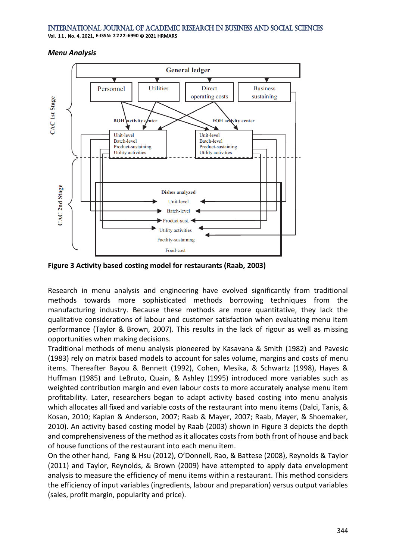**Vol. 1 1 , No. 4, 2021, E-ISSN: 2222-6990 © 2021 HRMARS**

#### *Menu Analysis*



**Figure 3 Activity based costing model for restaurants (Raab, 2003)**

Research in menu analysis and engineering have evolved significantly from traditional methods towards more sophisticated methods borrowing techniques from the manufacturing industry. Because these methods are more quantitative, they lack the qualitative considerations of labour and customer satisfaction when evaluating menu item performance (Taylor & Brown, 2007). This results in the lack of rigour as well as missing opportunities when making decisions.

Traditional methods of menu analysis pioneered by Kasavana & Smith (1982) and Pavesic (1983) rely on matrix based models to account for sales volume, margins and costs of menu items. Thereafter Bayou & Bennett (1992), Cohen, Mesika, & Schwartz (1998), Hayes & Huffman (1985) and LeBruto, Quain, & Ashley (1995) introduced more variables such as weighted contribution margin and even labour costs to more accurately analyse menu item profitability. Later, researchers began to adapt activity based costing into menu analysis which allocates all fixed and variable costs of the restaurant into menu items (Dalci, Tanis, & Kosan, 2010; Kaplan & Anderson, 2007; Raab & Mayer, 2007; Raab, Mayer, & Shoemaker, 2010). An activity based costing model by Raab (2003) shown in Figure 3 depicts the depth and comprehensiveness of the method as it allocates costs from both front of house and back of house functions of the restaurant into each menu item.

On the other hand, Fang & Hsu (2012), O'Donnell, Rao, & Battese (2008), Reynolds & Taylor (2011) and Taylor, Reynolds, & Brown (2009) have attempted to apply data envelopment analysis to measure the efficiency of menu items within a restaurant. This method considers the efficiency of input variables (ingredients, labour and preparation) versus output variables (sales, profit margin, popularity and price).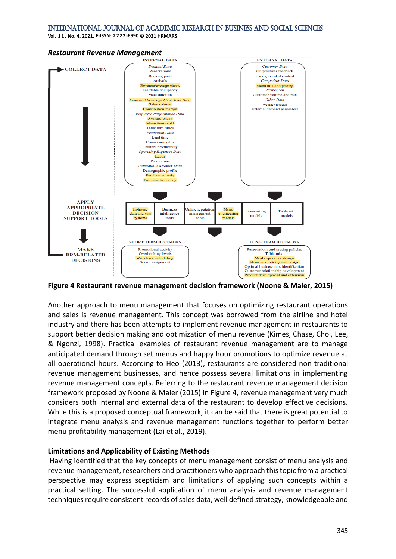**Vol. 1 1 , No. 4, 2021, E-ISSN: 2222-6990 © 2021 HRMARS**



# *Restaurant Revenue Management*

**Figure 4 Restaurant revenue management decision framework (Noone & Maier, 2015)**

Another approach to menu management that focuses on optimizing restaurant operations and sales is revenue management. This concept was borrowed from the airline and hotel industry and there has been attempts to implement revenue management in restaurants to support better decision making and optimization of menu revenue (Kimes, Chase, Choi, Lee, & Ngonzi, 1998). Practical examples of restaurant revenue management are to manage anticipated demand through set menus and happy hour promotions to optimize revenue at all operational hours. According to Heo (2013), restaurants are considered non-traditional revenue management businesses, and hence possess several limitations in implementing revenue management concepts. Referring to the restaurant revenue management decision framework proposed by Noone & Maier (2015) in Figure 4, revenue management very much considers both internal and external data of the restaurant to develop effective decisions. While this is a proposed conceptual framework, it can be said that there is great potential to integrate menu analysis and revenue management functions together to perform better menu profitability management (Lai et al., 2019).

#### **Limitations and Applicability of Existing Methods**

Having identified that the key concepts of menu management consist of menu analysis and revenue management, researchers and practitioners who approach this topic from a practical perspective may express scepticism and limitations of applying such concepts within a practical setting. The successful application of menu analysis and revenue management techniques require consistent records of sales data, well defined strategy, knowledgeable and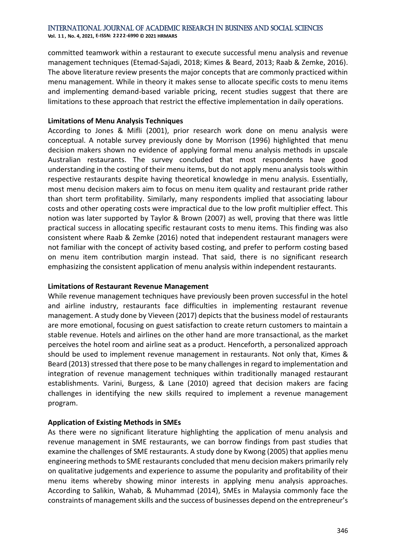**Vol. 1 1 , No. 4, 2021, E-ISSN: 2222-6990 © 2021 HRMARS**

committed teamwork within a restaurant to execute successful menu analysis and revenue management techniques (Etemad-Sajadi, 2018; Kimes & Beard, 2013; Raab & Zemke, 2016). The above literature review presents the major concepts that are commonly practiced within menu management. While in theory it makes sense to allocate specific costs to menu items and implementing demand-based variable pricing, recent studies suggest that there are limitations to these approach that restrict the effective implementation in daily operations.

#### **Limitations of Menu Analysis Techniques**

According to Jones & Mifli (2001), prior research work done on menu analysis were conceptual. A notable survey previously done by Morrison (1996) highlighted that menu decision makers shown no evidence of applying formal menu analysis methods in upscale Australian restaurants. The survey concluded that most respondents have good understanding in the costing of their menu items, but do not apply menu analysis tools within respective restaurants despite having theoretical knowledge in menu analysis. Essentially, most menu decision makers aim to focus on menu item quality and restaurant pride rather than short term profitability. Similarly, many respondents implied that associating labour costs and other operating costs were impractical due to the low profit multiplier effect. This notion was later supported by Taylor & Brown (2007) as well, proving that there was little practical success in allocating specific restaurant costs to menu items. This finding was also consistent where Raab & Zemke (2016) noted that independent restaurant managers were not familiar with the concept of activity based costing, and prefer to perform costing based on menu item contribution margin instead. That said, there is no significant research emphasizing the consistent application of menu analysis within independent restaurants.

#### **Limitations of Restaurant Revenue Management**

While revenue management techniques have previously been proven successful in the hotel and airline industry, restaurants face difficulties in implementing restaurant revenue management. A study done by Vieveen (2017) depicts that the business model of restaurants are more emotional, focusing on guest satisfaction to create return customers to maintain a stable revenue. Hotels and airlines on the other hand are more transactional, as the market perceives the hotel room and airline seat as a product. Henceforth, a personalized approach should be used to implement revenue management in restaurants. Not only that, Kimes & Beard (2013) stressed that there pose to be many challenges in regard to implementation and integration of revenue management techniques within traditionally managed restaurant establishments. Varini, Burgess, & Lane (2010) agreed that decision makers are facing challenges in identifying the new skills required to implement a revenue management program.

#### **Application of Existing Methods in SMEs**

As there were no significant literature highlighting the application of menu analysis and revenue management in SME restaurants, we can borrow findings from past studies that examine the challenges of SME restaurants. A study done by Kwong (2005) that applies menu engineering methods to SME restaurants concluded that menu decision makers primarily rely on qualitative judgements and experience to assume the popularity and profitability of their menu items whereby showing minor interests in applying menu analysis approaches. According to Salikin, Wahab, & Muhammad (2014), SMEs in Malaysia commonly face the constraints of management skills and the success of businesses depend on the entrepreneur's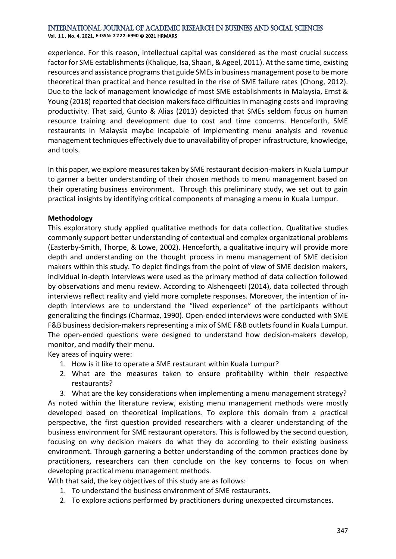**Vol. 1 1 , No. 4, 2021, E-ISSN: 2222-6990 © 2021 HRMARS**

experience. For this reason, intellectual capital was considered as the most crucial success factor for SME establishments (Khalique, Isa, Shaari, & Ageel, 2011). At the same time, existing resources and assistance programs that guide SMEs in business management pose to be more theoretical than practical and hence resulted in the rise of SME failure rates (Chong, 2012). Due to the lack of management knowledge of most SME establishments in Malaysia, Ernst & Young (2018) reported that decision makers face difficulties in managing costs and improving productivity. That said, Gunto & Alias (2013) depicted that SMEs seldom focus on human resource training and development due to cost and time concerns. Henceforth, SME restaurants in Malaysia maybe incapable of implementing menu analysis and revenue management techniques effectively due to unavailability of proper infrastructure, knowledge, and tools.

In this paper, we explore measures taken by SME restaurant decision-makers in Kuala Lumpur to garner a better understanding of their chosen methods to menu management based on their operating business environment. Through this preliminary study, we set out to gain practical insights by identifying critical components of managing a menu in Kuala Lumpur.

#### **Methodology**

This exploratory study applied qualitative methods for data collection. Qualitative studies commonly support better understanding of contextual and complex organizational problems (Easterby-Smith, Thorpe, & Lowe, 2002). Henceforth, a qualitative inquiry will provide more depth and understanding on the thought process in menu management of SME decision makers within this study. To depict findings from the point of view of SME decision makers, individual in-depth interviews were used as the primary method of data collection followed by observations and menu review. According to Alshenqeeti (2014), data collected through interviews reflect reality and yield more complete responses. Moreover, the intention of indepth interviews are to understand the "lived experience" of the participants without generalizing the findings (Charmaz, 1990). Open-ended interviews were conducted with SME F&B business decision-makers representing a mix of SME F&B outlets found in Kuala Lumpur. The open-ended questions were designed to understand how decision-makers develop, monitor, and modify their menu.

Key areas of inquiry were:

- 1. How is it like to operate a SME restaurant within Kuala Lumpur?
- 2. What are the measures taken to ensure profitability within their respective restaurants?

3. What are the key considerations when implementing a menu management strategy? As noted within the literature review, existing menu management methods were mostly developed based on theoretical implications. To explore this domain from a practical perspective, the first question provided researchers with a clearer understanding of the business environment for SME restaurant operators. This is followed by the second question, focusing on why decision makers do what they do according to their existing business environment. Through garnering a better understanding of the common practices done by practitioners, researchers can then conclude on the key concerns to focus on when developing practical menu management methods.

With that said, the key objectives of this study are as follows:

- 1. To understand the business environment of SME restaurants.
- 2. To explore actions performed by practitioners during unexpected circumstances.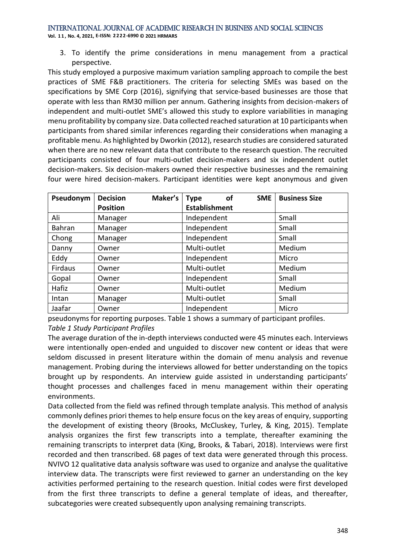**Vol. 1 1 , No. 4, 2021, E-ISSN: 2222-6990 © 2021 HRMARS**

3. To identify the prime considerations in menu management from a practical perspective.

This study employed a purposive maximum variation sampling approach to compile the best practices of SME F&B practitioners. The criteria for selecting SMEs was based on the specifications by SME Corp (2016), signifying that service-based businesses are those that operate with less than RM30 million per annum. Gathering insights from decision-makers of independent and multi-outlet SME's allowed this study to explore variabilities in managing menu profitability by company size. Data collected reached saturation at 10 participants when participants from shared similar inferences regarding their considerations when managing a profitable menu. As highlighted by Dworkin (2012), research studies are considered saturated when there are no new relevant data that contribute to the research question. The recruited participants consisted of four multi-outlet decision-makers and six independent outlet decision-makers. Six decision-makers owned their respective businesses and the remaining four were hired decision-makers. Participant identities were kept anonymous and given

| Pseudonym | <b>Decision</b> | Maker's | οf<br><b>Type</b>    | <b>SME</b> | <b>Business Size</b> |
|-----------|-----------------|---------|----------------------|------------|----------------------|
|           | <b>Position</b> |         | <b>Establishment</b> |            |                      |
| Ali       | Manager         |         | Independent          |            | Small                |
| Bahran    | Manager         |         | Independent          |            | Small                |
| Chong     | Manager         |         | Independent          |            | Small                |
| Danny     | Owner           |         | Multi-outlet         |            | Medium               |
| Eddy      | Owner           |         | Independent          |            | Micro                |
| Firdaus   | Owner           |         | Multi-outlet         |            | Medium               |
| Gopal     | Owner           |         | Independent          |            | Small                |
| Hafiz     | Owner           |         | Multi-outlet         |            | Medium               |
| Intan     | Manager         |         | Multi-outlet         |            | Small                |
| Jaafar    | Owner           |         | Independent          |            | Micro                |

pseudonyms for reporting purposes. Table 1 shows a summary of participant profiles. *Table 1 Study Participant Profiles*

The average duration of the in-depth interviews conducted were 45 minutes each. Interviews were intentionally open-ended and unguided to discover new content or ideas that were seldom discussed in present literature within the domain of menu analysis and revenue management. Probing during the interviews allowed for better understanding on the topics brought up by respondents. An interview guide assisted in understanding participants' thought processes and challenges faced in menu management within their operating environments.

Data collected from the field was refined through template analysis. This method of analysis commonly defines priori themes to help ensure focus on the key areas of enquiry, supporting the development of existing theory (Brooks, McCluskey, Turley, & King, 2015). Template analysis organizes the first few transcripts into a template, thereafter examining the remaining transcripts to interpret data (King, Brooks, & Tabari, 2018). Interviews were first recorded and then transcribed. 68 pages of text data were generated through this process. NVIVO 12 qualitative data analysis software was used to organize and analyse the qualitative interview data. The transcripts were first reviewed to garner an understanding on the key activities performed pertaining to the research question. Initial codes were first developed from the first three transcripts to define a general template of ideas, and thereafter, subcategories were created subsequently upon analysing remaining transcripts.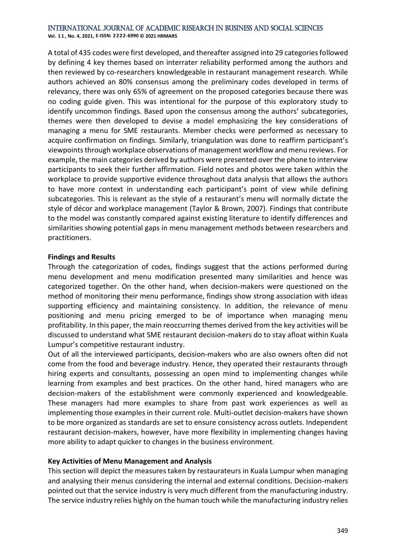**Vol. 1 1 , No. 4, 2021, E-ISSN: 2222-6990 © 2021 HRMARS**

A total of 435 codes were first developed, and thereafter assigned into 29 categories followed by defining 4 key themes based on interrater reliability performed among the authors and then reviewed by co-researchers knowledgeable in restaurant management research. While authors achieved an 80% consensus among the preliminary codes developed in terms of relevancy, there was only 65% of agreement on the proposed categories because there was no coding guide given. This was intentional for the purpose of this exploratory study to identify uncommon findings. Based upon the consensus among the authors' subcategories, themes were then developed to devise a model emphasizing the key considerations of managing a menu for SME restaurants. Member checks were performed as necessary to acquire confirmation on findings. Similarly, triangulation was done to reaffirm participant's viewpoints through workplace observations of management workflow and menu reviews. For example, the main categories derived by authors were presented over the phone to interview participants to seek their further affirmation. Field notes and photos were taken within the workplace to provide supportive evidence throughout data analysis that allows the authors to have more context in understanding each participant's point of view while defining subcategories. This is relevant as the style of a restaurant's menu will normally dictate the style of décor and workplace management (Taylor & Brown, 2007). Findings that contribute to the model was constantly compared against existing literature to identify differences and similarities showing potential gaps in menu management methods between researchers and practitioners.

#### **Findings and Results**

Through the categorization of codes, findings suggest that the actions performed during menu development and menu modification presented many similarities and hence was categorized together. On the other hand, when decision-makers were questioned on the method of monitoring their menu performance, findings show strong association with ideas supporting efficiency and maintaining consistency. In addition, the relevance of menu positioning and menu pricing emerged to be of importance when managing menu profitability. In this paper, the main reoccurring themes derived from the key activities will be discussed to understand what SME restaurant decision-makers do to stay afloat within Kuala Lumpur's competitive restaurant industry.

Out of all the interviewed participants, decision-makers who are also owners often did not come from the food and beverage industry. Hence, they operated their restaurants through hiring experts and consultants, possessing an open mind to implementing changes while learning from examples and best practices. On the other hand, hired managers who are decision-makers of the establishment were commonly experienced and knowledgeable. These managers had more examples to share from past work experiences as well as implementing those examples in their current role. Multi-outlet decision-makers have shown to be more organized as standards are set to ensure consistency across outlets. Independent restaurant decision-makers, however, have more flexibility in implementing changes having more ability to adapt quicker to changes in the business environment.

#### **Key Activities of Menu Management and Analysis**

This section will depict the measures taken by restaurateurs in Kuala Lumpur when managing and analysing their menus considering the internal and external conditions. Decision-makers pointed out that the service industry is very much different from the manufacturing industry. The service industry relies highly on the human touch while the manufacturing industry relies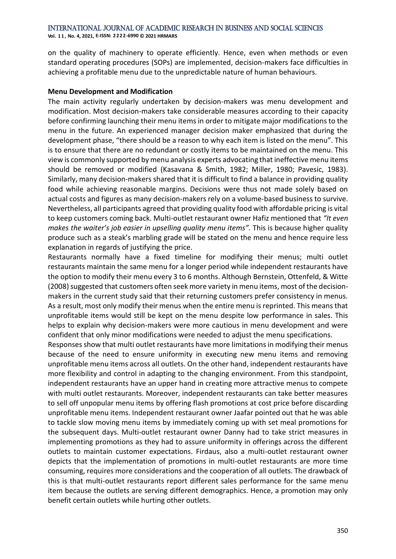**Vol. 1 1 , No. 4, 2021, E-ISSN: 2222-6990 © 2021 HRMARS**

on the quality of machinery to operate efficiently. Hence, even when methods or even standard operating procedures (SOPs) are implemented, decision-makers face difficulties in achieving a profitable menu due to the unpredictable nature of human behaviours.

#### **Menu Development and Modification**

The main activity regularly undertaken by decision-makers was menu development and modification. Most decision-makers take considerable measures according to their capacity before confirming launching their menu items in order to mitigate major modifications to the menu in the future. An experienced manager decision maker emphasized that during the development phase, "there should be a reason to why each item is listed on the menu". This is to ensure that there are no redundant or costly items to be maintained on the menu. This view is commonly supported by menu analysis experts advocating that ineffective menu items should be removed or modified (Kasavana & Smith, 1982; Miller, 1980; Pavesic, 1983). Similarly, many decision-makers shared that it is difficult to find a balance in providing quality food while achieving reasonable margins. Decisions were thus not made solely based on actual costs and figures as many decision-makers rely on a volume-based business to survive. Nevertheless, all participants agreed that providing quality food with affordable pricing is vital to keep customers coming back. Multi-outlet restaurant owner Hafiz mentioned that *"It even makes the waiter's job easier in upselling quality menu items".* This is because higher quality produce such as a steak's marbling grade will be stated on the menu and hence require less explanation in regards of justifying the price.

Restaurants normally have a fixed timeline for modifying their menus; multi outlet restaurants maintain the same menu for a longer period while independent restaurants have the option to modify their menu every 3 to 6 months. Although Bernstein, Ottenfeld, & Witte (2008) suggested that customers often seek more variety in menu items, most of the decisionmakers in the current study said that their returning customers prefer consistency in menus. As a result, most only modify their menus when the entire menu is reprinted. This means that unprofitable items would still be kept on the menu despite low performance in sales. This helps to explain why decision-makers were more cautious in menu development and were confident that only minor modifications were needed to adjust the menu specifications.

Responses show that multi outlet restaurants have more limitations in modifying their menus because of the need to ensure uniformity in executing new menu items and removing unprofitable menu items across all outlets. On the other hand, independent restaurants have more flexibility and control in adapting to the changing environment. From this standpoint, independent restaurants have an upper hand in creating more attractive menus to compete with multi outlet restaurants. Moreover, independent restaurants can take better measures to sell off unpopular menu items by offering flash promotions at cost price before discarding unprofitable menu items. Independent restaurant owner Jaafar pointed out that he was able to tackle slow moving menu items by immediately coming up with set meal promotions for the subsequent days. Multi-outlet restaurant owner Danny had to take strict measures in implementing promotions as they had to assure uniformity in offerings across the different outlets to maintain customer expectations. Firdaus, also a multi-outlet restaurant owner depicts that the implementation of promotions in multi-outlet restaurants are more time consuming, requires more considerations and the cooperation of all outlets. The drawback of this is that multi-outlet restaurants report different sales performance for the same menu item because the outlets are serving different demographics. Hence, a promotion may only benefit certain outlets while hurting other outlets.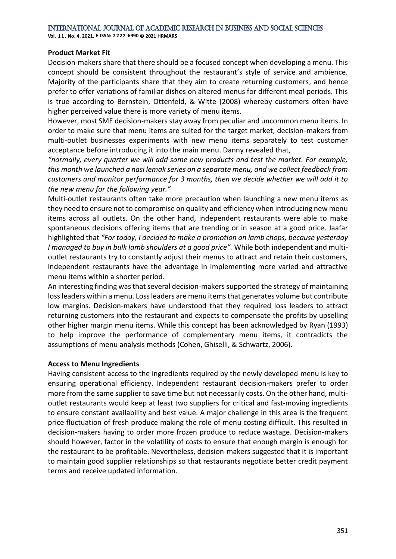**Vol. 1 1 , No. 4, 2021, E-ISSN: 2222-6990 © 2021 HRMARS**

#### **Product Market Fit**

Decision-makers share that there should be a focused concept when developing a menu. This concept should be consistent throughout the restaurant's style of service and ambience. Majority of the participants share that they aim to create returning customers, and hence prefer to offer variations of familiar dishes on altered menus for different meal periods. This is true according to Bernstein, Ottenfeld, & Witte (2008) whereby customers often have higher perceived value there is more variety of menu items.

However, most SME decision-makers stay away from peculiar and uncommon menu items. In order to make sure that menu items are suited for the target market, decision-makers from multi-outlet businesses experiments with new menu items separately to test customer acceptance before introducing it into the main menu. Danny revealed that,

*"normally, every quarter we will add some new products and test the market. For example, this month we launched a nasi lemak series on a separate menu, and we collect feedback from customers and monitor performance for 3 months, then we decide whether we will add it to the new menu for the following year."*

Multi-outlet restaurants often take more precaution when launching a new menu items as they need to ensure not to compromise on quality and efficiency when introducing new menu items across all outlets. On the other hand, independent restaurants were able to make spontaneous decisions offering items that are trending or in season at a good price. Jaafar highlighted that *"For today, I decided to make a promotion on lamb chops, because yesterday I managed to buy in bulk lamb shoulders at a good price".* While both independent and multioutlet restaurants try to constantly adjust their menus to attract and retain their customers, independent restaurants have the advantage in implementing more varied and attractive menu items within a shorter period.

An interesting finding was that several decision-makers supported the strategy of maintaining loss leaders within a menu. Loss leaders are menu items that generates volume but contribute low margins. Decision-makers have understood that they required loss leaders to attract returning customers into the restaurant and expects to compensate the profits by upselling other higher margin menu items. While this concept has been acknowledged by Ryan (1993) to help improve the performance of complementary menu items, it contradicts the assumptions of menu analysis methods (Cohen, Ghiselli, & Schwartz, 2006).

#### **Access to Menu Ingredients**

Having consistent access to the ingredients required by the newly developed menu is key to ensuring operational efficiency. Independent restaurant decision-makers prefer to order more from the same supplier to save time but not necessarily costs. On the other hand, multioutlet restaurants would keep at least two suppliers for critical and fast-moving ingredients to ensure constant availability and best value. A major challenge in this area is the frequent price fluctuation of fresh produce making the role of menu costing difficult. This resulted in decision-makers having to order more frozen produce to reduce wastage. Decision-makers should however, factor in the volatility of costs to ensure that enough margin is enough for the restaurant to be profitable. Nevertheless, decision-makers suggested that it is important to maintain good supplier relationships so that restaurants negotiate better credit payment terms and receive updated information.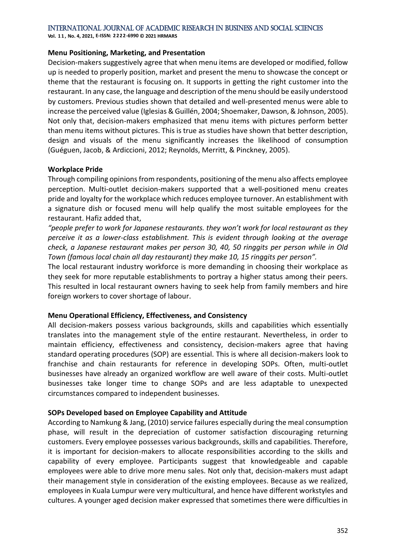**Vol. 1 1 , No. 4, 2021, E-ISSN: 2222-6990 © 2021 HRMARS**

#### **Menu Positioning, Marketing, and Presentation**

Decision-makers suggestively agree that when menu items are developed or modified, follow up is needed to properly position, market and present the menu to showcase the concept or theme that the restaurant is focusing on. It supports in getting the right customer into the restaurant. In any case, the language and description of the menu should be easily understood by customers. Previous studies shown that detailed and well-presented menus were able to increase the perceived value (Iglesias & Guillén, 2004; Shoemaker, Dawson, & Johnson, 2005). Not only that, decision-makers emphasized that menu items with pictures perform better than menu items without pictures. This is true as studies have shown that better description, design and visuals of the menu significantly increases the likelihood of consumption (Guéguen, Jacob, & Ardiccioni, 2012; Reynolds, Merritt, & Pinckney, 2005).

#### **Workplace Pride**

Through compiling opinions from respondents, positioning of the menu also affects employee perception. Multi-outlet decision-makers supported that a well-positioned menu creates pride and loyalty for the workplace which reduces employee turnover. An establishment with a signature dish or focused menu will help qualify the most suitable employees for the restaurant. Hafiz added that,

*"people prefer to work for Japanese restaurants. they won't work for local restaurant as they perceive it as a lower-class establishment. This is evident through looking at the average check, a Japanese restaurant makes per person 30, 40, 50 ringgits per person while in Old Town (famous local chain all day restaurant) they make 10, 15 ringgits per person".* 

The local restaurant industry workforce is more demanding in choosing their workplace as they seek for more reputable establishments to portray a higher status among their peers. This resulted in local restaurant owners having to seek help from family members and hire foreign workers to cover shortage of labour.

#### **Menu Operational Efficiency, Effectiveness, and Consistency**

All decision-makers possess various backgrounds, skills and capabilities which essentially translates into the management style of the entire restaurant. Nevertheless, in order to maintain efficiency, effectiveness and consistency, decision-makers agree that having standard operating procedures (SOP) are essential. This is where all decision-makers look to franchise and chain restaurants for reference in developing SOPs. Often, multi-outlet businesses have already an organized workflow are well aware of their costs. Multi-outlet businesses take longer time to change SOPs and are less adaptable to unexpected circumstances compared to independent businesses.

#### **SOPs Developed based on Employee Capability and Attitude**

According to Namkung & Jang, (2010) service failures especially during the meal consumption phase, will result in the depreciation of customer satisfaction discouraging returning customers. Every employee possesses various backgrounds, skills and capabilities. Therefore, it is important for decision-makers to allocate responsibilities according to the skills and capability of every employee. Participants suggest that knowledgeable and capable employees were able to drive more menu sales. Not only that, decision-makers must adapt their management style in consideration of the existing employees. Because as we realized, employees in Kuala Lumpur were very multicultural, and hence have different workstyles and cultures. A younger aged decision maker expressed that sometimes there were difficulties in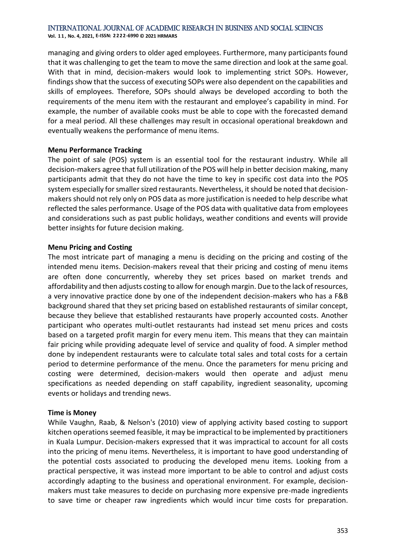**Vol. 1 1 , No. 4, 2021, E-ISSN: 2222-6990 © 2021 HRMARS**

managing and giving orders to older aged employees. Furthermore, many participants found that it was challenging to get the team to move the same direction and look at the same goal. With that in mind, decision-makers would look to implementing strict SOPs. However, findings show that the success of executing SOPs were also dependent on the capabilities and skills of employees. Therefore, SOPs should always be developed according to both the requirements of the menu item with the restaurant and employee's capability in mind. For example, the number of available cooks must be able to cope with the forecasted demand for a meal period. All these challenges may result in occasional operational breakdown and eventually weakens the performance of menu items.

#### **Menu Performance Tracking**

The point of sale (POS) system is an essential tool for the restaurant industry. While all decision-makers agree that full utilization of the POS will help in better decision making, many participants admit that they do not have the time to key in specific cost data into the POS system especially for smaller sized restaurants. Nevertheless, it should be noted that decisionmakers should not rely only on POS data as more justification is needed to help describe what reflected the sales performance. Usage of the POS data with qualitative data from employees and considerations such as past public holidays, weather conditions and events will provide better insights for future decision making.

#### **Menu Pricing and Costing**

The most intricate part of managing a menu is deciding on the pricing and costing of the intended menu items. Decision-makers reveal that their pricing and costing of menu items are often done concurrently, whereby they set prices based on market trends and affordability and then adjusts costing to allow for enough margin. Due to the lack of resources, a very innovative practice done by one of the independent decision-makers who has a F&B background shared that they set pricing based on established restaurants of similar concept, because they believe that established restaurants have properly accounted costs. Another participant who operates multi-outlet restaurants had instead set menu prices and costs based on a targeted profit margin for every menu item. This means that they can maintain fair pricing while providing adequate level of service and quality of food. A simpler method done by independent restaurants were to calculate total sales and total costs for a certain period to determine performance of the menu. Once the parameters for menu pricing and costing were determined, decision-makers would then operate and adjust menu specifications as needed depending on staff capability, ingredient seasonality, upcoming events or holidays and trending news.

#### **Time is Money**

While Vaughn, Raab, & Nelson's (2010) view of applying activity based costing to support kitchen operations seemed feasible, it may be impractical to be implemented by practitioners in Kuala Lumpur. Decision-makers expressed that it was impractical to account for all costs into the pricing of menu items. Nevertheless, it is important to have good understanding of the potential costs associated to producing the developed menu items. Looking from a practical perspective, it was instead more important to be able to control and adjust costs accordingly adapting to the business and operational environment. For example, decisionmakers must take measures to decide on purchasing more expensive pre-made ingredients to save time or cheaper raw ingredients which would incur time costs for preparation.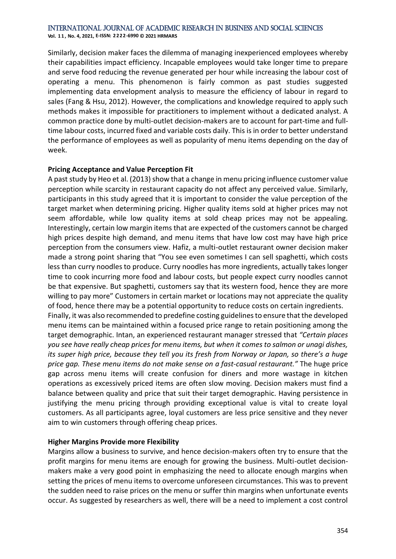**Vol. 1 1 , No. 4, 2021, E-ISSN: 2222-6990 © 2021 HRMARS**

Similarly, decision maker faces the dilemma of managing inexperienced employees whereby their capabilities impact efficiency. Incapable employees would take longer time to prepare and serve food reducing the revenue generated per hour while increasing the labour cost of operating a menu. This phenomenon is fairly common as past studies suggested implementing data envelopment analysis to measure the efficiency of labour in regard to sales (Fang & Hsu, 2012). However, the complications and knowledge required to apply such methods makes it impossible for practitioners to implement without a dedicated analyst. A common practice done by multi-outlet decision-makers are to account for part-time and fulltime labour costs, incurred fixed and variable costs daily. This is in order to better understand the performance of employees as well as popularity of menu items depending on the day of week.

#### **Pricing Acceptance and Value Perception Fit**

A past study by Heo et al. (2013) show that a change in menu pricing influence customer value perception while scarcity in restaurant capacity do not affect any perceived value. Similarly, participants in this study agreed that it is important to consider the value perception of the target market when determining pricing. Higher quality items sold at higher prices may not seem affordable, while low quality items at sold cheap prices may not be appealing. Interestingly, certain low margin items that are expected of the customers cannot be charged high prices despite high demand, and menu items that have low cost may have high price perception from the consumers view. Hafiz, a multi-outlet restaurant owner decision maker made a strong point sharing that "You see even sometimes I can sell spaghetti, which costs less than curry noodles to produce. Curry noodles has more ingredients, actually takes longer time to cook incurring more food and labour costs, but people expect curry noodles cannot be that expensive. But spaghetti, customers say that its western food, hence they are more willing to pay more" Customers in certain market or locations may not appreciate the quality of food, hence there may be a potential opportunity to reduce costs on certain ingredients. Finally, it was also recommended to predefine costing guidelines to ensure that the developed menu items can be maintained within a focused price range to retain positioning among the target demographic. Intan, an experienced restaurant manager stressed that *"Certain places you see have really cheap prices for menu items, but when it comes to salmon or unagi dishes, its super high price, because they tell you its fresh from Norway or Japan, so there's a huge price gap. These menu items do not make sense on a fast-casual restaurant."* The huge price gap across menu items will create confusion for diners and more wastage in kitchen operations as excessively priced items are often slow moving. Decision makers must find a balance between quality and price that suit their target demographic. Having persistence in justifying the menu pricing through providing exceptional value is vital to create loyal customers. As all participants agree, loyal customers are less price sensitive and they never aim to win customers through offering cheap prices.

#### **Higher Margins Provide more Flexibility**

Margins allow a business to survive, and hence decision-makers often try to ensure that the profit margins for menu items are enough for growing the business. Multi-outlet decisionmakers make a very good point in emphasizing the need to allocate enough margins when setting the prices of menu items to overcome unforeseen circumstances. This was to prevent the sudden need to raise prices on the menu or suffer thin margins when unfortunate events occur. As suggested by researchers as well, there will be a need to implement a cost control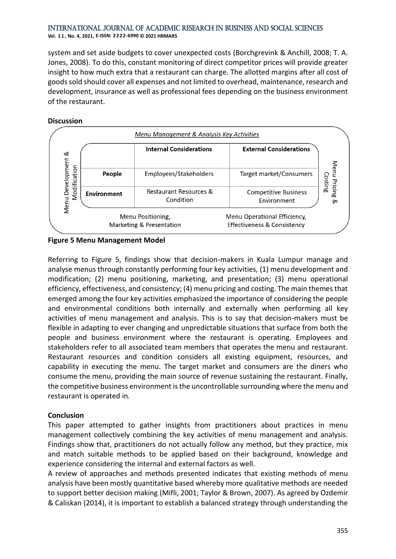**Vol. 1 1 , No. 4, 2021, E-ISSN: 2222-6990 © 2021 HRMARS**

system and set aside budgets to cover unexpected costs (Borchgrevink & Anchill, 2008; T. A. Jones, 2008). To do this, constant monitoring of direct competitor prices will provide greater insight to how much extra that a restaurant can charge. The allotted margins after all cost of goods sold should cover all expenses and not limited to overhead, maintenance, research and development, insurance as well as professional fees depending on the business environment of the restaurant.

#### **Discussion**



#### **Figure 5 Menu Management Model**

Referring to Figure 5, findings show that decision-makers in Kuala Lumpur manage and analyse menus through constantly performing four key activities, (1) menu development and modification; (2) menu positioning, marketing, and presentation; (3) menu operational efficiency, effectiveness, and consistency; (4) menu pricing and costing. The main themes that emerged among the four key activities emphasized the importance of considering the people and environmental conditions both internally and externally when performing all key activities of menu management and analysis. This is to say that decision-makers must be flexible in adapting to ever changing and unpredictable situations that surface from both the people and business environment where the restaurant is operating. Employees and stakeholders refer to all associated team members that operates the menu and restaurant. Restaurant resources and condition considers all existing equipment, resources, and capability in executing the menu. The target market and consumers are the diners who consume the menu, providing the main source of revenue sustaining the restaurant. Finally, the competitive business environment is the uncontrollable surrounding where the menu and restaurant is operated in.

#### **Conclusion**

This paper attempted to gather insights from practitioners about practices in menu management collectively combining the key activities of menu management and analysis. Findings show that, practitioners do not actually follow any method, but they practice, mix and match suitable methods to be applied based on their background, knowledge and experience considering the internal and external factors as well.

A review of approaches and methods presented indicates that existing methods of menu analysis have been mostly quantitative based whereby more qualitative methods are needed to support better decision making (Mifli, 2001; Taylor & Brown, 2007). As agreed by Ozdemir & Caliskan (2014), it is important to establish a balanced strategy through understanding the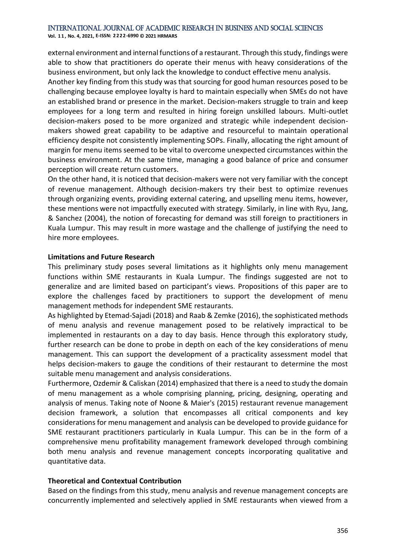**Vol. 1 1 , No. 4, 2021, E-ISSN: 2222-6990 © 2021 HRMARS**

external environment and internal functions of a restaurant. Through this study, findings were able to show that practitioners do operate their menus with heavy considerations of the business environment, but only lack the knowledge to conduct effective menu analysis.

Another key finding from this study was that sourcing for good human resources posed to be challenging because employee loyalty is hard to maintain especially when SMEs do not have an established brand or presence in the market. Decision-makers struggle to train and keep employees for a long term and resulted in hiring foreign unskilled labours. Multi-outlet decision-makers posed to be more organized and strategic while independent decisionmakers showed great capability to be adaptive and resourceful to maintain operational efficiency despite not consistently implementing SOPs. Finally, allocating the right amount of margin for menu items seemed to be vital to overcome unexpected circumstances within the business environment. At the same time, managing a good balance of price and consumer perception will create return customers.

On the other hand, it is noticed that decision-makers were not very familiar with the concept of revenue management. Although decision-makers try their best to optimize revenues through organizing events, providing external catering, and upselling menu items, however, these mentions were not impactfully executed with strategy. Similarly, in line with Ryu, Jang, & Sanchez (2004), the notion of forecasting for demand was still foreign to practitioners in Kuala Lumpur. This may result in more wastage and the challenge of justifying the need to hire more employees.

#### **Limitations and Future Research**

This preliminary study poses several limitations as it highlights only menu management functions within SME restaurants in Kuala Lumpur. The findings suggested are not to generalize and are limited based on participant's views. Propositions of this paper are to explore the challenges faced by practitioners to support the development of menu management methods for independent SME restaurants.

As highlighted by Etemad-Sajadi (2018) and Raab & Zemke (2016), the sophisticated methods of menu analysis and revenue management posed to be relatively impractical to be implemented in restaurants on a day to day basis. Hence through this exploratory study, further research can be done to probe in depth on each of the key considerations of menu management. This can support the development of a practicality assessment model that helps decision-makers to gauge the conditions of their restaurant to determine the most suitable menu management and analysis considerations.

Furthermore, Ozdemir & Caliskan (2014) emphasized that there is a need to study the domain of menu management as a whole comprising planning, pricing, designing, operating and analysis of menus. Taking note of Noone & Maier's (2015) restaurant revenue management decision framework, a solution that encompasses all critical components and key considerations for menu management and analysis can be developed to provide guidance for SME restaurant practitioners particularly in Kuala Lumpur. This can be in the form of a comprehensive menu profitability management framework developed through combining both menu analysis and revenue management concepts incorporating qualitative and quantitative data.

#### **Theoretical and Contextual Contribution**

Based on the findings from this study, menu analysis and revenue management concepts are concurrently implemented and selectively applied in SME restaurants when viewed from a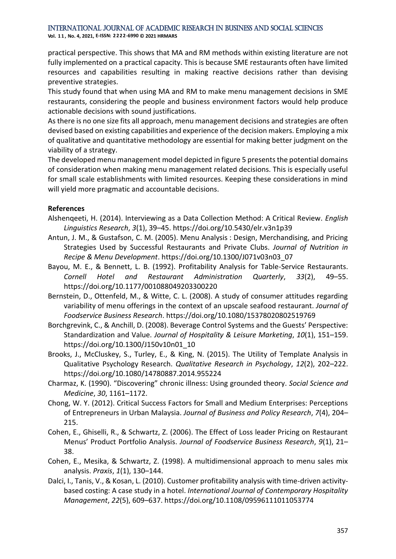**Vol. 1 1 , No. 4, 2021, E-ISSN: 2222-6990 © 2021 HRMARS**

practical perspective. This shows that MA and RM methods within existing literature are not fully implemented on a practical capacity. This is because SME restaurants often have limited resources and capabilities resulting in making reactive decisions rather than devising preventive strategies.

This study found that when using MA and RM to make menu management decisions in SME restaurants, considering the people and business environment factors would help produce actionable decisions with sound justifications.

As there is no one size fits all approach, menu management decisions and strategies are often devised based on existing capabilities and experience of the decision makers. Employing a mix of qualitative and quantitative methodology are essential for making better judgment on the viability of a strategy.

The developed menu management model depicted in figure 5 presents the potential domains of consideration when making menu management related decisions. This is especially useful for small scale establishments with limited resources. Keeping these considerations in mind will yield more pragmatic and accountable decisions.

#### **References**

- Alshenqeeti, H. (2014). Interviewing as a Data Collection Method: A Critical Review. *English Linguistics Research*, *3*(1), 39–45. https://doi.org/10.5430/elr.v3n1p39
- Antun, J. M., & Gustafson, C. M. (2005). Menu Analysis : Design, Merchandising, and Pricing Strategies Used by Successful Restaurants and Private Clubs. *Journal of Nutrition in Recipe & Menu Development*. https://doi.org/10.1300/J071v03n03\_07
- Bayou, M. E., & Bennett, L. B. (1992). Profitability Analysis for Table-Service Restaurants. *Cornell Hotel and Restaurant Administration Quarterly*, *33*(2), 49–55. https://doi.org/10.1177/001088049203300220
- Bernstein, D., Ottenfeld, M., & Witte, C. L. (2008). A study of consumer attitudes regarding variability of menu offerings in the context of an upscale seafood restaurant. *Journal of Foodservice Business Research*. https://doi.org/10.1080/15378020802519769
- Borchgrevink, C., & Anchill, D. (2008). Beverage Control Systems and the Guests' Perspective: Standardization and Value. *Journal of Hospitality & Leisure Marketing*, *10*(1), 151–159. https://doi.org/10.1300/J150v10n01\_10
- Brooks, J., McCluskey, S., Turley, E., & King, N. (2015). The Utility of Template Analysis in Qualitative Psychology Research. *Qualitative Research in Psychology*, *12*(2), 202–222. https://doi.org/10.1080/14780887.2014.955224
- Charmaz, K. (1990). "Discovering" chronic illness: Using grounded theory. *Social Science and Medicine*, *30*, 1161–1172.
- Chong, W. Y. (2012). Critical Success Factors for Small and Medium Enterprises: Perceptions of Entrepreneurs in Urban Malaysia. *Journal of Business and Policy Research*, *7*(4), 204– 215.
- Cohen, E., Ghiselli, R., & Schwartz, Z. (2006). The Effect of Loss leader Pricing on Restaurant Menus' Product Portfolio Analysis. *Journal of Foodservice Business Research*, *9*(1), 21– 38.
- Cohen, E., Mesika, & Schwartz, Z. (1998). A multidimensional approach to menu sales mix analysis. *Praxis*, *1*(1), 130–144.
- Dalci, I., Tanis, V., & Kosan, L. (2010). Customer profitability analysis with time-driven activitybased costing: A case study in a hotel. *International Journal of Contemporary Hospitality Management*, *22*(5), 609–637. https://doi.org/10.1108/09596111011053774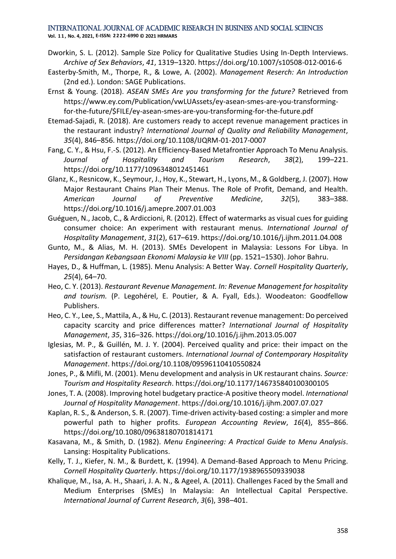**Vol. 1 1 , No. 4, 2021, E-ISSN: 2222-6990 © 2021 HRMARS**

- Dworkin, S. L. (2012). Sample Size Policy for Qualitative Studies Using In-Depth Interviews. *Archive of Sex Behaviors*, *41*, 1319–1320. https://doi.org/10.1007/s10508-012-0016-6
- Easterby-Smith, M., Thorpe, R., & Lowe, A. (2002). *Management Reserch: An Introduction* (2nd ed.). London: SAGE Publications.
- Ernst & Young. (2018). *ASEAN SMEs Are you transforming for the future?* Retrieved from https://www.ey.com/Publication/vwLUAssets/ey-asean-smes-are-you-transformingfor-the-future/\$FILE/ey-asean-smes-are-you-transforming-for-the-future.pdf
- Etemad-Sajadi, R. (2018). Are customers ready to accept revenue management practices in the restaurant industry? *International Journal of Quality and Reliability Management*, *35*(4), 846–856. https://doi.org/10.1108/IJQRM-01-2017-0007
- Fang, C. Y., & Hsu, F.-S. (2012). An Efficiency-Based Metafrontier Approach To Menu Analysis. *Journal of Hospitality and Tourism Research*, *38*(2), 199–221. https://doi.org/10.1177/1096348012451461
- Glanz, K., Resnicow, K., Seymour, J., Hoy, K., Stewart, H., Lyons, M., & Goldberg, J. (2007). How Major Restaurant Chains Plan Their Menus. The Role of Profit, Demand, and Health. *American Journal of Preventive Medicine*, *32*(5), 383–388. https://doi.org/10.1016/j.amepre.2007.01.003
- Guéguen, N., Jacob, C., & Ardiccioni, R. (2012). Effect of watermarks as visual cues for guiding consumer choice: An experiment with restaurant menus. *International Journal of Hospitality Management*, *31*(2), 617–619. https://doi.org/10.1016/j.ijhm.2011.04.008
- Gunto, M., & Alias, M. H. (2013). SMEs Developent in Malaysia: Lessons For Libya. In *Persidangan Kebangsaan Ekonomi Malaysia ke VIII* (pp. 1521–1530). Johor Bahru.
- Hayes, D., & Huffman, L. (1985). Menu Analysis: A Better Way. *Cornell Hospitality Quarterly*, *25*(4), 64–70.
- Heo, C. Y. (2013). *Restaurant Revenue Management. In: Revenue Management for hospitality and tourism.* (P. Legohérel, E. Poutier, & A. Fyall, Eds.). Woodeaton: Goodfellow Publishers.
- Heo, C. Y., Lee, S., Mattila, A., & Hu, C. (2013). Restaurant revenue management: Do perceived capacity scarcity and price differences matter? *International Journal of Hospitality Management*, *35*, 316–326. https://doi.org/10.1016/j.ijhm.2013.05.007
- Iglesias, M. P., & Guillén, M. J. Y. (2004). Perceived quality and price: their impact on the satisfaction of restaurant customers. *International Journal of Contemporary Hospitality Management*. https://doi.org/10.1108/09596110410550824
- Jones, P., & Mifli, M. (2001). Menu development and analysis in UK restaurant chains. *Source: Tourism and Hospitality Research*. https://doi.org/10.1177/146735840100300105
- Jones, T. A. (2008). Improving hotel budgetary practice-A positive theory model. *International Journal of Hospitality Management*. https://doi.org/10.1016/j.ijhm.2007.07.027
- Kaplan, R. S., & Anderson, S. R. (2007). Time-driven activity-based costing: a simpler and more powerful path to higher profits. *European Accounting Review*, *16*(4), 855–866. https://doi.org/10.1080/09638180701814171
- Kasavana, M., & Smith, D. (1982). *Menu Engineering: A Practical Guide to Menu Analysis*. Lansing: Hospitality Publications.
- Kelly, T. J., Kiefer, N. M., & Burdett, K. (1994). A Demand-Based Approach to Menu Pricing. *Cornell Hospitality Quarterly*. https://doi.org/10.1177/1938965509339038
- Khalique, M., Isa, A. H., Shaari, J. A. N., & Ageel, A. (2011). Challenges Faced by the Small and Medium Enterprises (SMEs) In Malaysia: An Intellectual Capital Perspective. *International Journal of Current Research*, *3*(6), 398–401.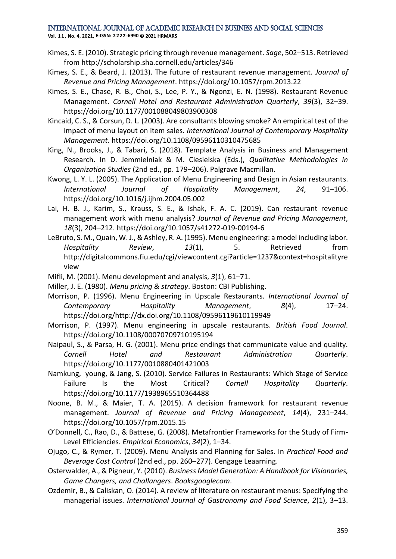**Vol. 1 1 , No. 4, 2021, E-ISSN: 2222-6990 © 2021 HRMARS**

- Kimes, S. E. (2010). Strategic pricing through revenue management. *Sage*, 502–513. Retrieved from http://scholarship.sha.cornell.edu/articles/346
- Kimes, S. E., & Beard, J. (2013). The future of restaurant revenue management. *Journal of Revenue and Pricing Management*. https://doi.org/10.1057/rpm.2013.22
- Kimes, S. E., Chase, R. B., Choi, S., Lee, P. Y., & Ngonzi, E. N. (1998). Restaurant Revenue Management. *Cornell Hotel and Restaurant Administration Quarterly*, *39*(3), 32–39. https://doi.org/10.1177/001088049803900308
- Kincaid, C. S., & Corsun, D. L. (2003). Are consultants blowing smoke? An empirical test of the impact of menu layout on item sales. *International Journal of Contemporary Hospitality Management*. https://doi.org/10.1108/09596110310475685
- King, N., Brooks, J., & Tabari, S. (2018). Template Analysis in Business and Management Research. In D. Jemmielniak & M. Ciesielska (Eds.), *Qualitative Methodologies in Organization Studies* (2nd ed., pp. 179–206). Palgrave Macmillan.
- Kwong, L. Y. L. (2005). The Application of Menu Engineering and Design in Asian restaurants. *International Journal of Hospitality Management*, *24*, 91–106. https://doi.org/10.1016/j.ijhm.2004.05.002
- Lai, H. B. J., Karim, S., Krauss, S. E., & Ishak, F. A. C. (2019). Can restaurant revenue management work with menu analysis? *Journal of Revenue and Pricing Management*, *18*(3), 204–212. https://doi.org/10.1057/s41272-019-00194-6
- LeBruto, S. M., Quain, W. J., & Ashley, R. A. (1995). Menu engineering: a model including labor. *Hospitality Review*, *13*(1), 5. Retrieved from http://digitalcommons.fiu.edu/cgi/viewcontent.cgi?article=1237&context=hospitalityre view
- Mifli, M. (2001). Menu development and analysis, *3*(1), 61–71.
- Miller, J. E. (1980). *Menu pricing & strategy*. Boston: CBI Publishing.
- Morrison, P. (1996). Menu Engineering in Upscale Restaurants. *International Journal of Contemporary Hospitality Management*, *8*(4), 17–24. https://doi.org/http://dx.doi.org/10.1108/09596119610119949
- Morrison, P. (1997). Menu engineering in upscale restaurants. *British Food Journal*. https://doi.org/10.1108/00070709710195194
- Naipaul, S., & Parsa, H. G. (2001). Menu price endings that communicate value and quality. *Cornell Hotel and Restaurant Administration Quarterly*. https://doi.org/10.1177/0010880401421003
- Namkung, young, & Jang, S. (2010). Service Failures in Restaurants: Which Stage of Service Failure Is the Most Critical? *Cornell Hospitality Quarterly*. https://doi.org/10.1177/1938965510364488
- Noone, B. M., & Maier, T. A. (2015). A decision framework for restaurant revenue management. *Journal of Revenue and Pricing Management*, *14*(4), 231–244. https://doi.org/10.1057/rpm.2015.15
- O'Donnell, C., Rao, D., & Battese, G. (2008). Metafrontier Frameworks for the Study of Firm-Level Efficiencies. *Empirical Economics*, *34*(2), 1–34.
- Ojugo, C., & Rymer, T. (2009). Menu Analysis and Planning for Sales. In *Practical Food and Beverage Cost Control* (2nd ed., pp. 260–277). Cengage Leaarning.
- Osterwalder, A., & Pigneur, Y. (2010). *Business Model Generation: A Handbook for Visionaries, Game Changers, and Challangers*. *Booksgooglecom*.
- Ozdemir, B., & Caliskan, O. (2014). A review of literature on restaurant menus: Specifying the managerial issues. *International Journal of Gastronomy and Food Science*, *2*(1), 3–13.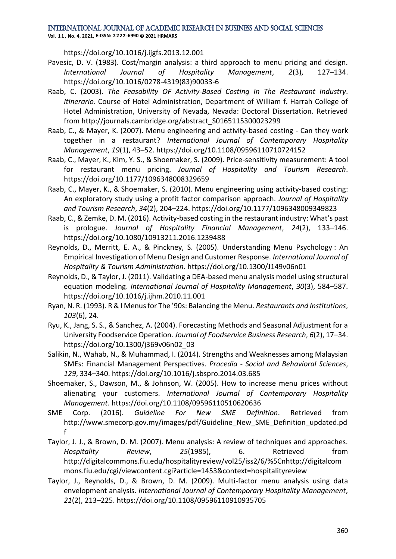**Vol. 1 1 , No. 4, 2021, E-ISSN: 2222-6990 © 2021 HRMARS**

https://doi.org/10.1016/j.ijgfs.2013.12.001

- Pavesic, D. V. (1983). Cost/margin analysis: a third approach to menu pricing and design. *International Journal of Hospitality Management*, *2*(3), 127–134. https://doi.org/10.1016/0278-4319(83)90033-6
- Raab, C. (2003). *The Feasability OF Activity-Based Costing In The Restaurant Industry*. *Itinerario*. Course of Hotel Administration, Department of William f. Harrah College of Hotel Administration, University of Nevada, Nevada: Doctoral Dissertation. Retrieved from http://journals.cambridge.org/abstract\_S0165115300023299
- Raab, C., & Mayer, K. (2007). Menu engineering and activity-based costing Can they work together in a restaurant? *International Journal of Contemporary Hospitality Management*, *19*(1), 43–52. https://doi.org/10.1108/09596110710724152
- Raab, C., Mayer, K., Kim, Y. S., & Shoemaker, S. (2009). Price-sensitivity measurement: A tool for restaurant menu pricing. *Journal of Hospitality and Tourism Research*. https://doi.org/10.1177/1096348008329659
- Raab, C., Mayer, K., & Shoemaker, S. (2010). Menu engineering using activity-based costing: An exploratory study using a profit factor comparison approach. *Journal of Hospitality and Tourism Research*, *34*(2), 204–224. https://doi.org/10.1177/1096348009349823
- Raab, C., & Zemke, D. M. (2016). Activity-based costing in the restaurant industry: What's past is prologue. *Journal of Hospitality Financial Management*, *24*(2), 133–146. https://doi.org/10.1080/10913211.2016.1239488
- Reynolds, D., Merritt, E. A., & Pinckney, S. (2005). Understanding Menu Psychology : An Empirical Investigation of Menu Design and Customer Response. *International Journal of Hospitality & Tourism Administration*. https://doi.org/10.1300/J149v06n01
- Reynolds, D., & Taylor, J. (2011). Validating a DEA-based menu analysis model using structural equation modeling. *International Journal of Hospitality Management*, *30*(3), 584–587. https://doi.org/10.1016/j.ijhm.2010.11.001
- Ryan, N. R. (1993). R & I Menus for The '90s: Balancing the Menu. *Restaurants and Institutions*, *103*(6), 24.
- Ryu, K., Jang, S. S., & Sanchez, A. (2004). Forecasting Methods and Seasonal Adjustment for a University Foodservice Operation. *Journal of Foodservice Business Research*, *6*(2), 17–34. https://doi.org/10.1300/j369v06n02\_03
- Salikin, N., Wahab, N., & Muhammad, I. (2014). Strengths and Weaknesses among Malaysian SMEs: Financial Management Perspectives. *Procedia - Social and Behavioral Sciences*, *129*, 334–340. https://doi.org/10.1016/j.sbspro.2014.03.685
- Shoemaker, S., Dawson, M., & Johnson, W. (2005). How to increase menu prices without alienating your customers. *International Journal of Contemporary Hospitality Management*. https://doi.org/10.1108/09596110510620636
- SME Corp. (2016). *Guideline For New SME Definition*. Retrieved from http://www.smecorp.gov.my/images/pdf/Guideline\_New\_SME\_Definition\_updated.pd f
- Taylor, J. J., & Brown, D. M. (2007). Menu analysis: A review of techniques and approaches. *Hospitality Review*, *25*(1985), 6. Retrieved from http://digitalcommons.fiu.edu/hospitalityreview/vol25/iss2/6/%5Cnhttp://digitalcom mons.fiu.edu/cgi/viewcontent.cgi?article=1453&context=hospitalityreview
- Taylor, J., Reynolds, D., & Brown, D. M. (2009). Multi-factor menu analysis using data envelopment analysis. *International Journal of Contemporary Hospitality Management*, *21*(2), 213–225. https://doi.org/10.1108/09596110910935705